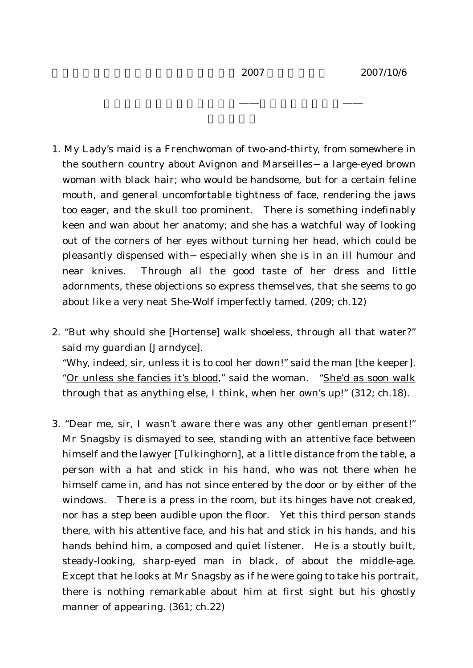- 1. My Lady's maid is a Frenchwoman of two-and-thirty, from somewhere in the southern country about Avignon and Marseilles a large-eyed brown woman with black hair; who would be handsome, but for a certain feline mouth, and general uncomfortable tightness of face, rendering the jaws too eager, and the skull too prominent. There is something indefinably keen and wan about her anatomy; and she has a watchful way of looking out of the corners of her eyes without turning her head, which could be pleasantly dispensed with especially when she is in an ill humour and near knives. Through all the good taste of her dress and little adornments, these objections so express themselves, that she seems to go about like a very neat She-Wolf imperfectly tamed. (209; ch.12)
- 2. "But why should she [Hortense] walk shoeless, through all that water?" said my guardian [Jarndyce].

"Why, indeed, sir, unless it is to cool her down!" said the man [the keeper]. "Or unless she fancies it's blood," said the woman. "She'd as soon walk through that as anything else, I think, when her own's up!" (312; ch.18).

3. "Dear me, sir, I wasn't aware there was any other gentleman present!" Mr Snagsby is dismayed to see, standing with an attentive face between himself and the lawyer [Tulkinghorn], at a little distance from the table, a person with a hat and stick in his hand, who was not there when he himself came in, and has not since entered by the door or by either of the windows. There is a press in the room, but its hinges have not creaked, nor has a step been audible upon the floor. Yet this third person stands there, with his attentive face, and his hat and stick in his hands, and his hands behind him, a composed and quiet listener. He is a stoutly built, steady-looking, sharp-eyed man in black, of about the middle-age. Except that he looks at Mr Snagsby as if he were going to take his portrait, there is nothing remarkable about him at first sight but his ghostly manner of appearing. (361; ch.22)